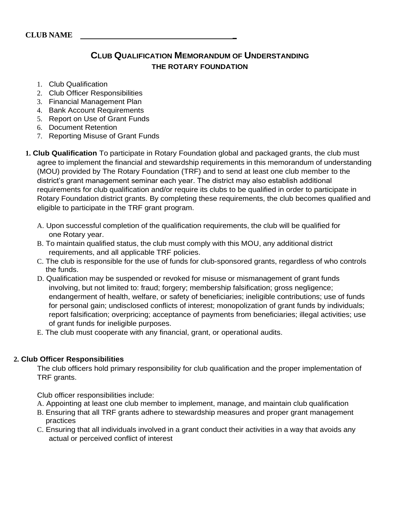# **CLUB QUALIFICATION MEMORANDUM OF UNDERSTANDING THE ROTARY FOUNDATION**

- 1. Club Qualification
- 2. Club Officer Responsibilities
- 3. Financial Management Plan
- 4. Bank Account Requirements
- 5. Report on Use of Grant Funds
- 6. Document Retention
- 7. Reporting Misuse of Grant Funds
- **1. Club Qualification** To participate in Rotary Foundation global and packaged grants, the club must agree to implement the financial and stewardship requirements in this memorandum of understanding (MOU) provided by The Rotary Foundation (TRF) and to send at least one club member to the district's grant management seminar each year. The district may also establish additional requirements for club qualification and/or require its clubs to be qualified in order to participate in Rotary Foundation district grants. By completing these requirements, the club becomes qualified and eligible to participate in the TRF grant program.
	- A. Upon successful completion of the qualification requirements, the club will be qualified for one Rotary year.
	- B. To maintain qualified status, the club must comply with this MOU, any additional district requirements, and all applicable TRF policies.
	- C. The club is responsible for the use of funds for club-sponsored grants, regardless of who controls the funds.
	- D. Qualification may be suspended or revoked for misuse or mismanagement of grant funds involving, but not limited to: fraud; forgery; membership falsification; gross negligence; endangerment of health, welfare, or safety of beneficiaries; ineligible contributions; use of funds for personal gain; undisclosed conflicts of interest; monopolization of grant funds by individuals; report falsification; overpricing; acceptance of payments from beneficiaries; illegal activities; use of grant funds for ineligible purposes.
	- E. The club must cooperate with any financial, grant, or operational audits.

#### **2. Club Officer Responsibilities**

The club officers hold primary responsibility for club qualification and the proper implementation of TRF grants.

Club officer responsibilities include:

- A. Appointing at least one club member to implement, manage, and maintain club qualification
- B. Ensuring that all TRF grants adhere to stewardship measures and proper grant management practices
- C. Ensuring that all individuals involved in a grant conduct their activities in a way that avoids any actual or perceived conflict of interest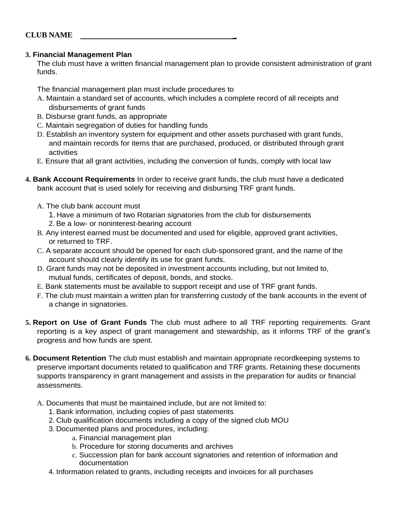### **3. Financial Management Plan**

The club must have a written financial management plan to provide consistent administration of grant funds.

The financial management plan must include procedures to

- A. Maintain a standard set of accounts, which includes a complete record of all receipts and disbursements of grant funds
- B. Disburse grant funds, as appropriate
- C. Maintain segregation of duties for handling funds
- D. Establish an inventory system for equipment and other assets purchased with grant funds, and maintain records for items that are purchased, produced, or distributed through grant activities
- E. Ensure that all grant activities, including the conversion of funds, comply with local law
- **4. Bank Account Requirements** In order to receive grant funds, the club must have a dedicated bank account that is used solely for receiving and disbursing TRF grant funds.
	- A. The club bank account must
		- 1. Have a minimum of two Rotarian signatories from the club for disbursements
		- 2. Be a low- or noninterest-bearing account
	- B. Any interest earned must be documented and used for eligible, approved grant activities, or returned to TRF.
	- C. A separate account should be opened for each club-sponsored grant, and the name of the account should clearly identify its use for grant funds.
	- D. Grant funds may not be deposited in investment accounts including, but not limited to, mutual funds, certificates of deposit, bonds, and stocks.
	- E. Bank statements must be available to support receipt and use of TRF grant funds.
	- F. The club must maintain a written plan for transferring custody of the bank accounts in the event of a change in signatories.
- **5. Report on Use of Grant Funds** The club must adhere to all TRF reporting requirements. Grant reporting is a key aspect of grant management and stewardship, as it informs TRF of the grant's progress and how funds are spent.
- **6. Document Retention** The club must establish and maintain appropriate recordkeeping systems to preserve important documents related to qualification and TRF grants. Retaining these documents supports transparency in grant management and assists in the preparation for audits or financial assessments.
	- A. Documents that must be maintained include, but are not limited to:
		- 1. Bank information, including copies of past statements
		- 2. Club qualification documents including a copy of the signed club MOU
		- 3. Documented plans and procedures, including:
			- a. Financial management plan
			- b. Procedure for storing documents and archives
			- c. Succession plan for bank account signatories and retention of information and documentation
		- 4. Information related to grants, including receipts and invoices for all purchases